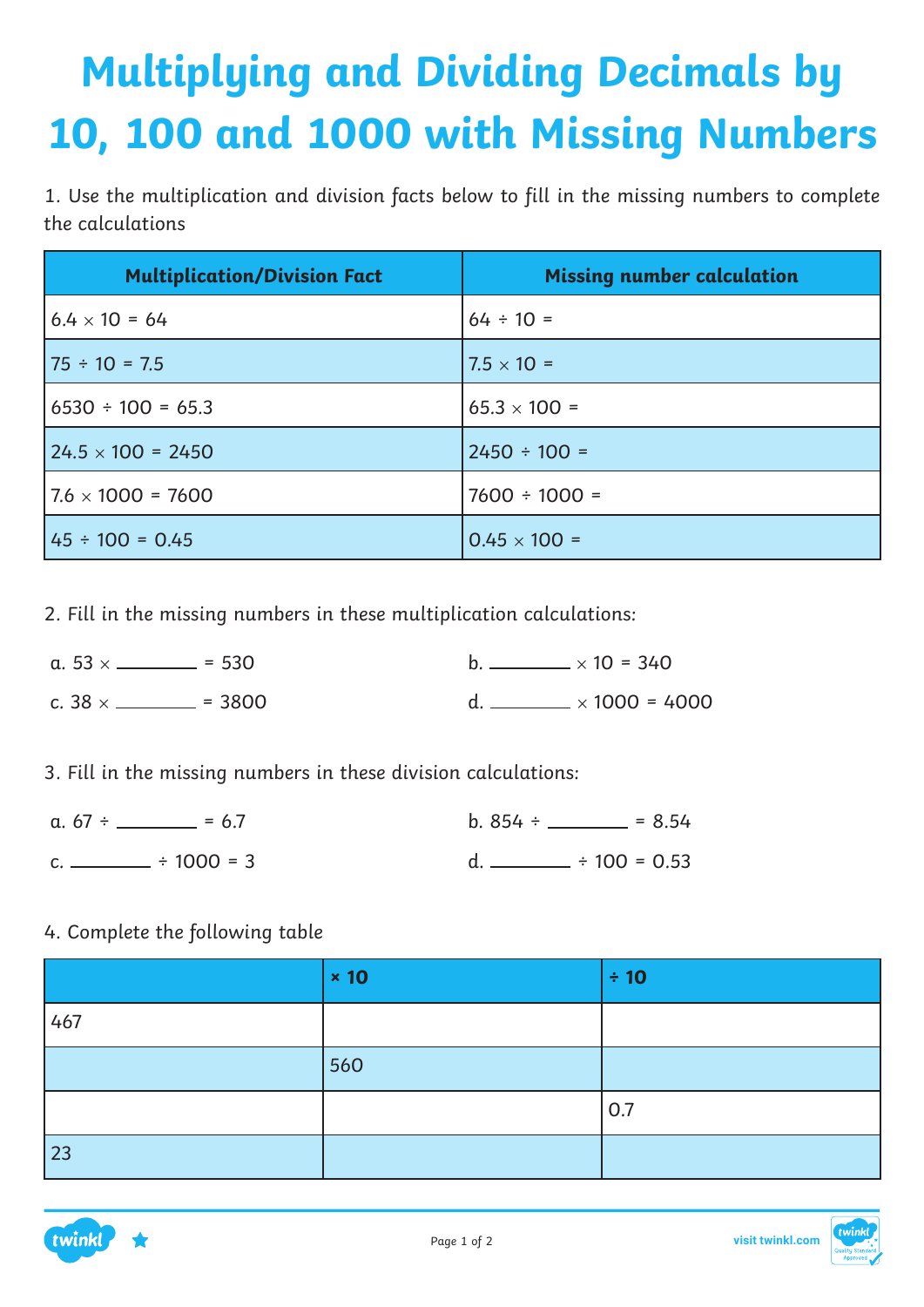# **Multiplying and Dividing Decimals by 10, 100 and 1000 with Missing Numbers**

1. Use the multiplication and division facts below to fill in the missing numbers to complete the calculations

| <b>Multiplication/Division Fact</b> | <b>Missing number calculation</b> |
|-------------------------------------|-----------------------------------|
| $6.4 \times 10 = 64$                | $64 \div 10 =$                    |
| $175 \div 10 = 7.5$                 | $17.5 \times 10 =$                |
| $6530 \div 100 = 65.3$              | $65.3 \times 100 =$               |
| $24.5 \times 100 = 2450$            | $2450 \div 100 =$                 |
| $7.6 \times 1000 = 7600$            | $7600 \div 1000 =$                |
| $45 \div 100 = 0.45$                | $0.45 \times 100 =$               |

2. Fill in the missing numbers in these multiplication calculations:

| a. $53 \times$ = 530            | b. __________ $\times$ 10 = 340 |                                   |
|---------------------------------|---------------------------------|-----------------------------------|
| c. $38 \times$ _________ = 3800 |                                 | d. _________ $\times$ 1000 = 4000 |

3. Fill in the missing numbers in these division calculations:

| a. $67 \div$ ________ = 6.7 | b. $854 \div$ _________ = 8.54 |
|-----------------------------|--------------------------------|
| c. ___________ ÷ 1000 = 3   | d. _________ ÷ 100 = 0.53      |

|     | $\times$ 10 | $\div$ 10 |
|-----|-------------|-----------|
| 467 |             |           |
|     | 560         |           |
|     |             | 0.7       |
| 23  |             |           |

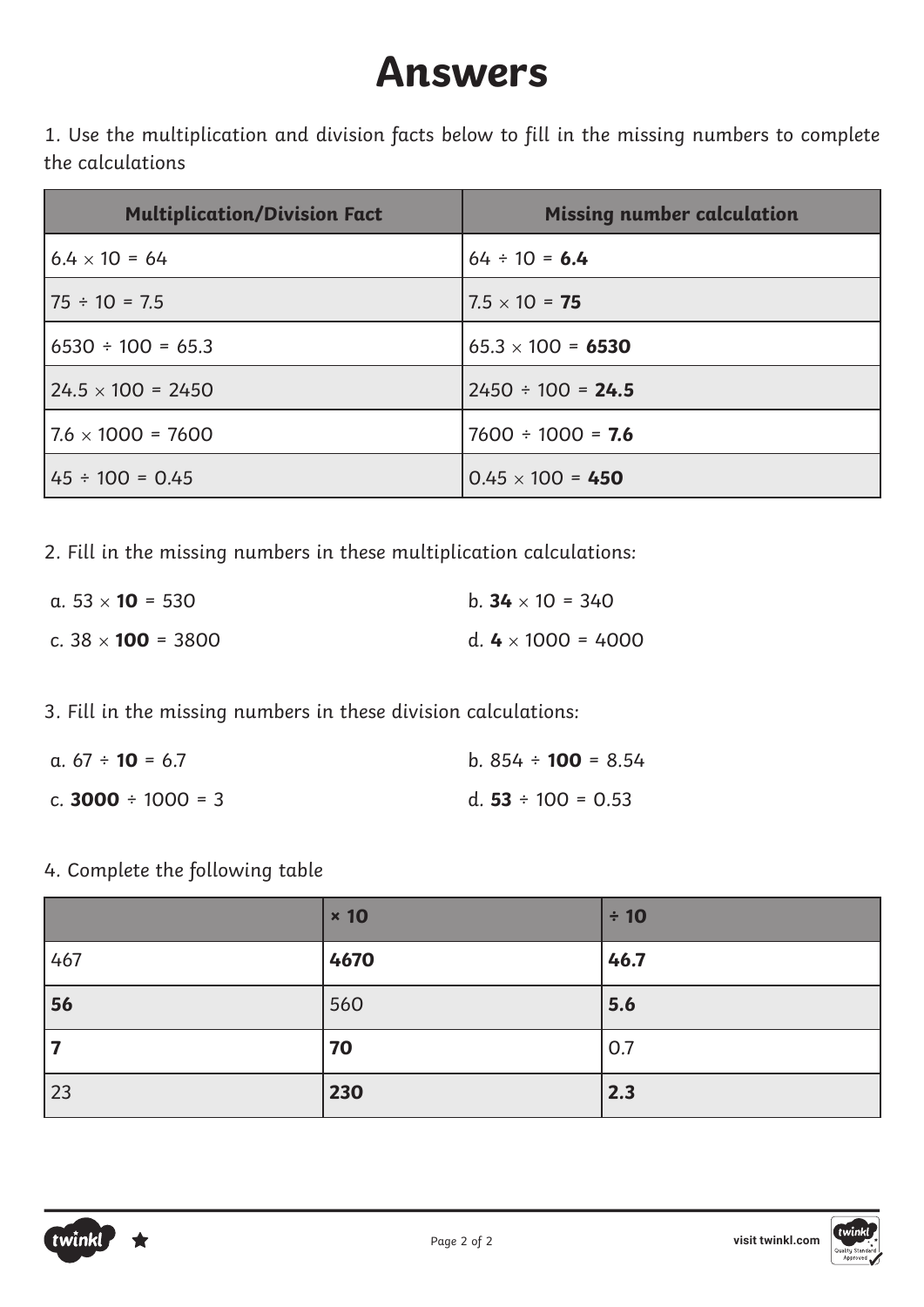### **Answers**

1. Use the multiplication and division facts below to fill in the missing numbers to complete the calculations

| <b>Multiplication/Division Fact</b> | <b>Missing number calculation</b> |
|-------------------------------------|-----------------------------------|
| $6.4 \times 10 = 64$                | $64 \div 10 = 6.4$                |
| $175 \div 10 = 7.5$                 | $7.5 \times 10 = 75$              |
| $6530 \div 100 = 65.3$              | $65.3 \times 100 = 6530$          |
| $24.5 \times 100 = 2450$            | $2450 \div 100 = 24.5$            |
| $17.6 \times 1000 = 7600$           | $7600 \div 1000 = 7.6$            |
| $145 \div 100 = 0.45$               | $0.45 \times 100 = 450$           |

2. Fill in the missing numbers in these multiplication calculations:

| a. 53 $\times$ <b>10</b> = 530   | b. $34 \times 10 = 340$   |
|----------------------------------|---------------------------|
| c. 38 $\times$ <b>100</b> = 3800 | d. $4 \times 1000 = 4000$ |

3. Fill in the missing numbers in these division calculations:

| a. $67 \div 10 = 6.7$   | b. $854 \div 100 = 8.54$ |
|-------------------------|--------------------------|
| c. $3000 \div 1000 = 3$ | d. $53 \div 100 = 0.53$  |

|     | $\times$ 10 | $\div$ 10 |
|-----|-------------|-----------|
| 467 | 4670        | 46.7      |
| 56  | 560         | 5.6       |
|     | 70          | 0.7       |
| 23  | 230         | 2.3       |

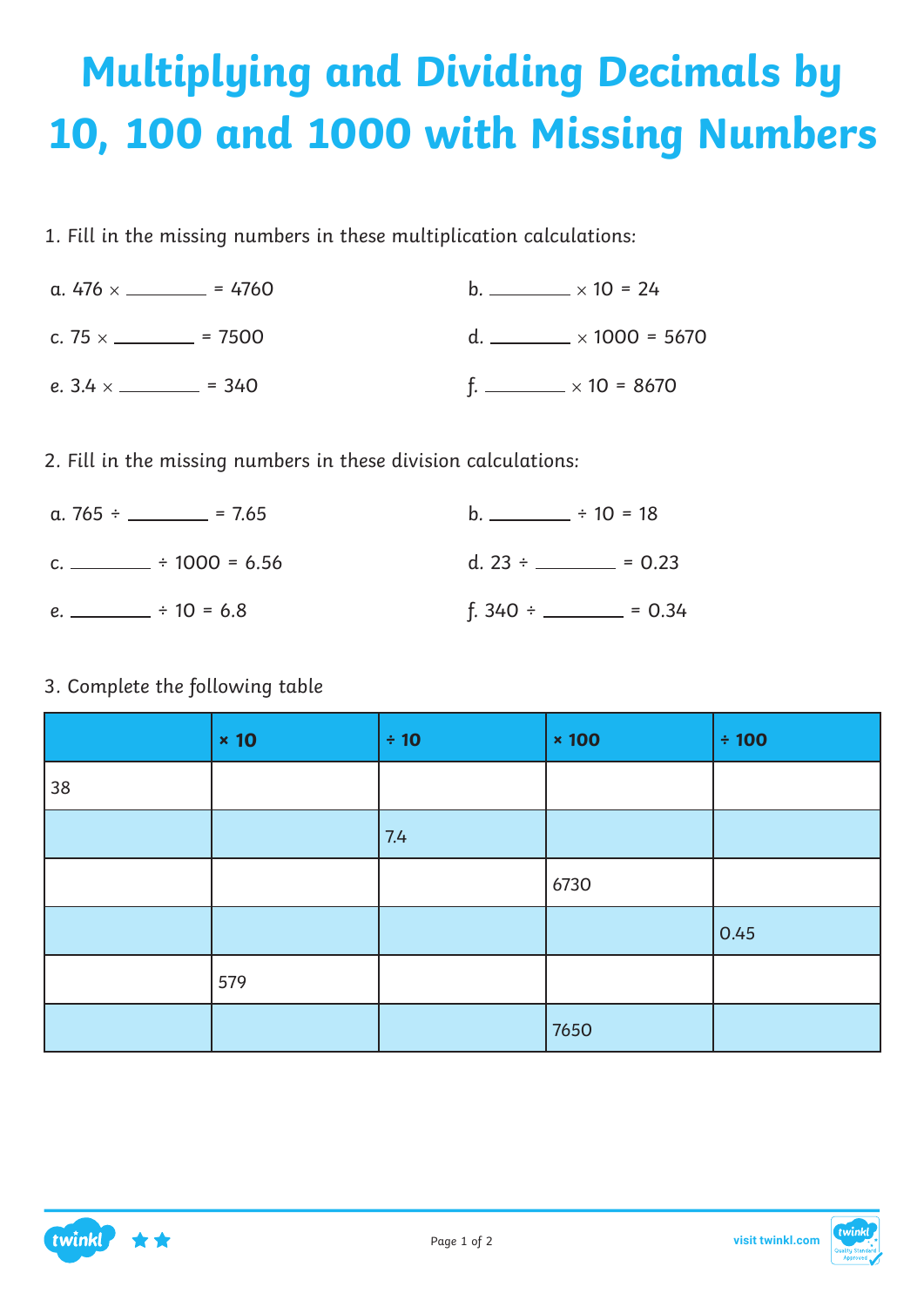## **Multiplying and Dividing Decimals by 10, 100 and 1000 with Missing Numbers**

1. Fill in the missing numbers in these multiplication calculations:

| a. $476 \times \_ \_ = 4760$       | b. __________ $\times$ 10 = 24            |
|------------------------------------|-------------------------------------------|
| c. $75 \times \_$ = 7500           | d. _________ $\times$ 1000 = 5670         |
| e. $3.4 \times$ ____________ = 340 | $f.$ $\longrightarrow$ $\times$ 10 = 8670 |

2. Fill in the missing numbers in these division calculations:

| a. 765 ÷ ________ = 7.65     |                      |
|------------------------------|----------------------|
| c. ___________ ÷ 1000 = 6.56 | d. $23 \div$ = 0.23  |
|                              | $f. 340 \div$ = 0.34 |

|    | $\times$ 10 | $\div$ 10 | $\times 100$ | $\div$ 100 |
|----|-------------|-----------|--------------|------------|
| 38 |             |           |              |            |
|    |             | 7.4       |              |            |
|    |             |           | 6730         |            |
|    |             |           |              | 0.45       |
|    | 579         |           |              |            |
|    |             |           | 7650         |            |



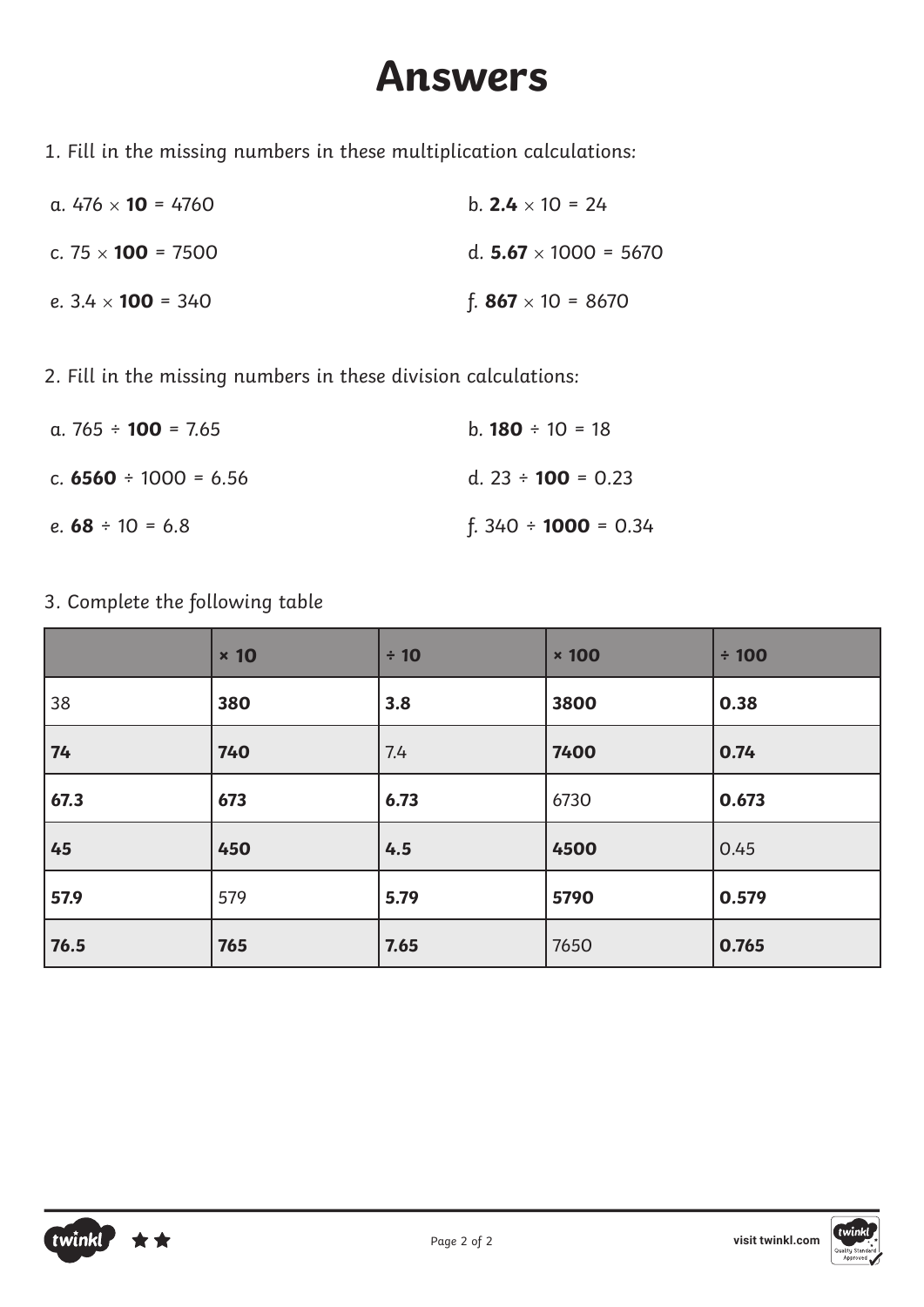### **Answers**

1. Fill in the missing numbers in these multiplication calculations:

| a. 476 $\times$ <b>10</b> = 4760 | b. $2.4 \times 10 = 24$      |
|----------------------------------|------------------------------|
| c. 75 $\times$ <b>100</b> = 7500 | d. $5.67 \times 1000 = 5670$ |
| e. $3.4 \times 100 = 340$        | f. $867 \times 10 = 8670$    |

2. Fill in the missing numbers in these division calculations:

| a. $765 \div 100 = 7.65$ | b. $180 \div 10 = 18$     |
|--------------------------|---------------------------|
| c. 6560 ÷ 1000 = 6.56    | d. $23 \div 100 = 0.23$   |
| e. $68 \div 10 = 6.8$    | f. $340 \div 1000 = 0.34$ |

|      | $\times 10$ | $\div$ 10 | $\times 100$ | $\div$ 100 |
|------|-------------|-----------|--------------|------------|
| 38   | 380         | 3.8       | 3800         | 0.38       |
| 74   | 740         | 7.4       | 7400         | 0.74       |
| 67.3 | 673         | 6.73      | 6730         | 0.673      |
| 45   | 450         | 4.5       | 4500         | 0.45       |
| 57.9 | 579         | 5.79      | 5790         | 0.579      |
| 76.5 | 765         | 7.65      | 7650         | 0.765      |

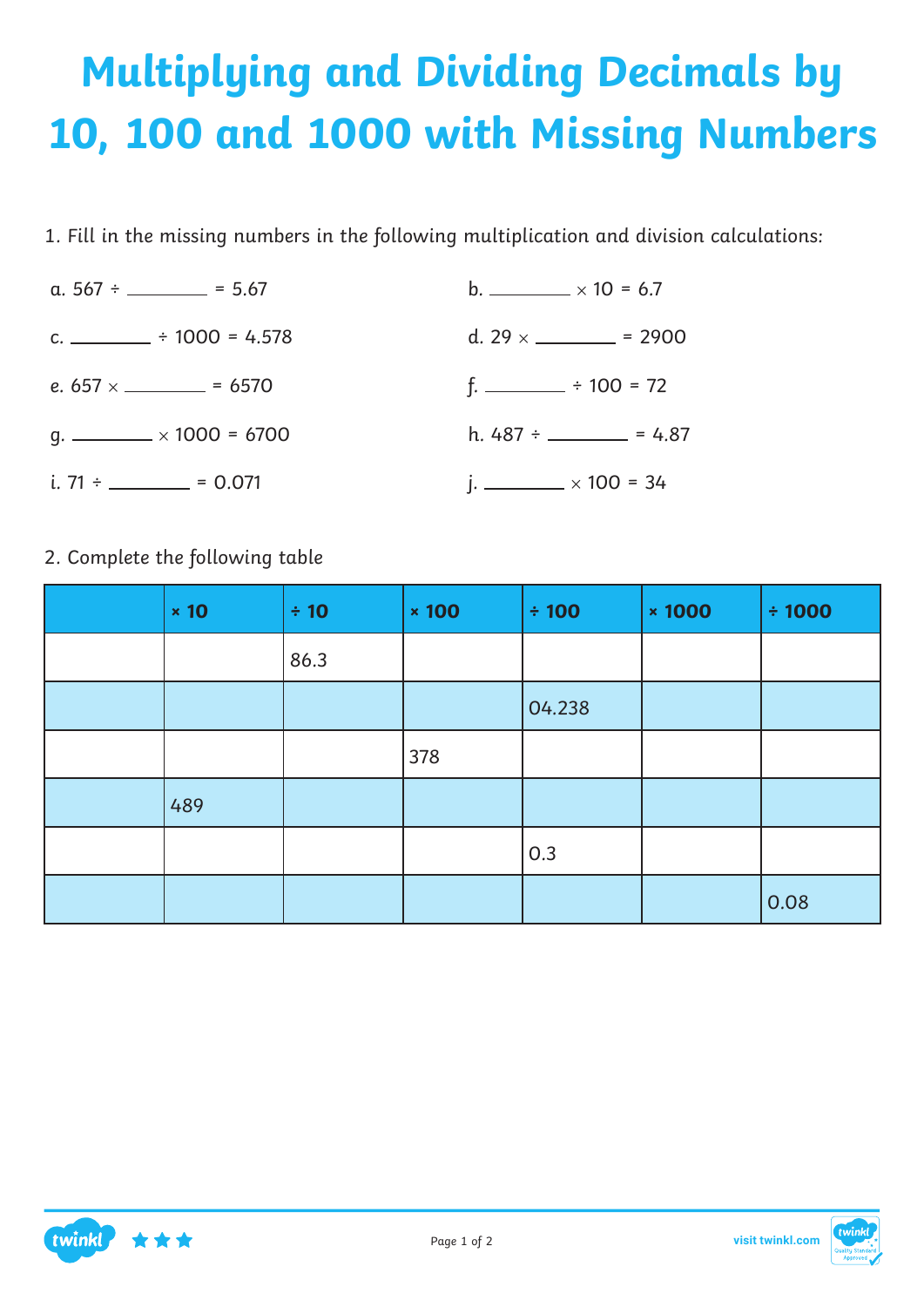# **Multiplying and Dividing Decimals by 10, 100 and 1000 with Missing Numbers**

1. Fill in the missing numbers in the following multiplication and division calculations:

| a. $567 \div \_ \_ = 5.67$       | b. __________ $\times$ 10 = 6.7 |
|----------------------------------|---------------------------------|
| c. __________ ÷ 1000 = 4.578     | d. $29 \times$ ________ = 2900  |
| e. $657 \times$ = 6570           | $f.$ $\rightarrow$ 100 = 72     |
| q. ________ $\times$ 1000 = 6700 | h. $487 \div$ = 4.87            |
| i. 71 $\div$ = 0.071             | j. ________ $\times$ 100 = 34   |

| $\times$ 10 | $\div$ 10 | $\times$ 100 | $\div$ 100 | <b>× 1000</b> | $\div$ 1000 |
|-------------|-----------|--------------|------------|---------------|-------------|
|             | 86.3      |              |            |               |             |
|             |           |              | 04.238     |               |             |
|             |           | 378          |            |               |             |
| 489         |           |              |            |               |             |
|             |           |              | 0.3        |               |             |
|             |           |              |            |               | 0.08        |